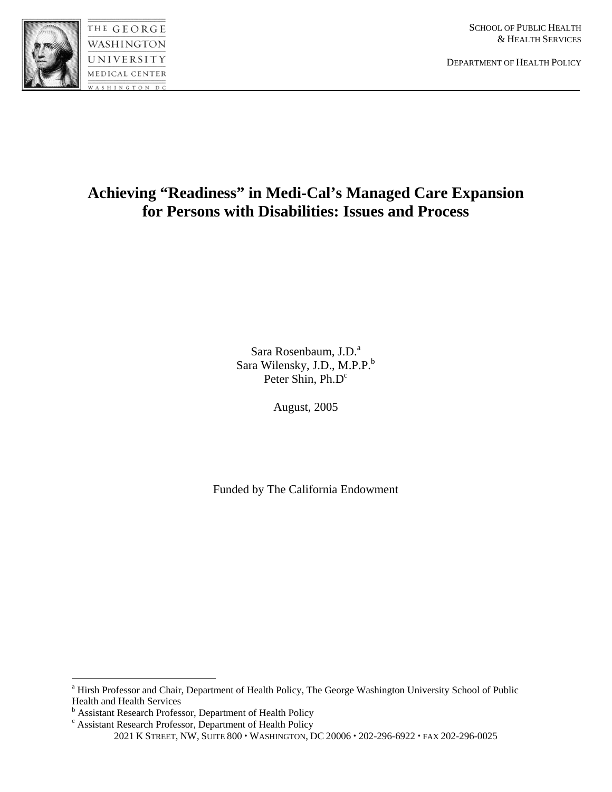

DEPARTMENT OF HEALTH POLICY

# **Achieving "Readiness" in Medi-Cal's Managed Care Expansion for Persons with Disabilities: Issues and Process**

Sara Rosenbaum, J.D.<sup>a</sup> Sara Wilensky, J.D., M.P.P.<sup>b</sup> Peter Shin, Ph.D<sup>c</sup>

August, 2005

Funded by The California Endowment

<sup>&</sup>lt;sup>a</sup> Hirsh Professor and Chair, Department of Health Policy, The George Washington University School of Public Health and Health Services

<sup>&</sup>lt;sup>b</sup> Assistant Research Professor, Department of Health Policy<br><sup>c</sup> Assistant Research Professor, Department of Health Policy

<sup>2021</sup> K STREET, NW, SUITE 800 · WASHINGTON, DC 20006 · 202-296-6922 · FAX 202-296-0025 Assistant Research Professor, Department of Health Policy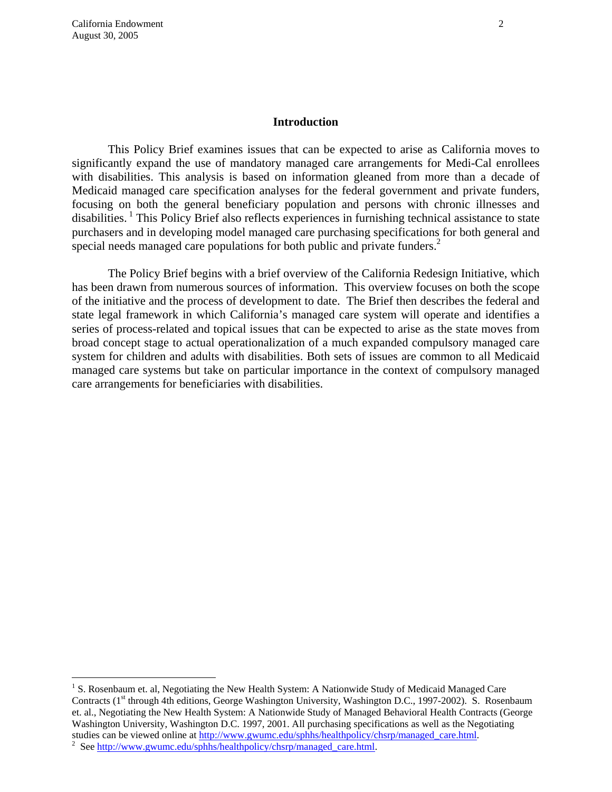$\overline{a}$ 

#### **Introduction**

This Policy Brief examines issues that can be expected to arise as California moves to significantly expand the use of mandatory managed care arrangements for Medi-Cal enrollees with disabilities. This analysis is based on information gleaned from more than a decade of Medicaid managed care specification analyses for the federal government and private funders, focusing on both the general beneficiary population and persons with chronic illnesses and disabilities.<sup>1</sup> This Policy Brief also reflects experiences in furnishing technical assistance to state purchasers and in developing model managed care purchasing specifications for both general and special needs managed care populations for both public and private funders.<sup>2</sup>

The Policy Brief begins with a brief overview of the California Redesign Initiative, which has been drawn from numerous sources of information. This overview focuses on both the scope of the initiative and the process of development to date. The Brief then describes the federal and state legal framework in which California's managed care system will operate and identifies a series of process-related and topical issues that can be expected to arise as the state moves from broad concept stage to actual operationalization of a much expanded compulsory managed care system for children and adults with disabilities. Both sets of issues are common to all Medicaid managed care systems but take on particular importance in the context of compulsory managed care arrangements for beneficiaries with disabilities.

<sup>&</sup>lt;sup>1</sup> S. Rosenbaum et. al, Negotiating the New Health System: A Nationwide Study of Medicaid Managed Care Contracts (1<sup>st</sup> through 4th editions, George Washington University, Washington D.C., 1997-2002). S. Rosenbaum et. al., Negotiating the New Health System: A Nationwide Study of Managed Behavioral Health Contracts (George Washington University, Washington D.C. 1997, 2001. All purchasing specifications as well as the Negotiating studies can be viewed online at http://www.gwumc.edu/sphhs/healthpolicy/chsrp/managed\_care.html. <sup>2</sup> See http://www.gwumc.edu/sphhs/healthpolicy/chsrp/managed\_care.html.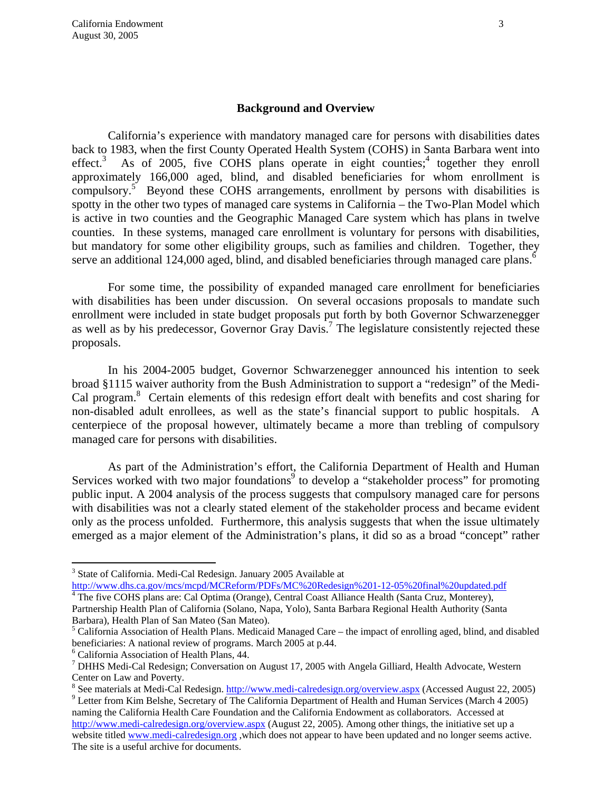#### **Background and Overview**

California's experience with mandatory managed care for persons with disabilities dates back to 1983, when the first County Operated Health System (COHS) in Santa Barbara went into effect. $3$ As of 2005, five COHS plans operate in eight counties;<sup>4</sup> together they enroll approximately 166,000 aged, blind, and disabled beneficiaries for whom enrollment is  $compulsory.<sup>5</sup>$  Beyond these COHS arrangements, enrollment by persons with disabilities is spotty in the other two types of managed care systems in California – the Two-Plan Model which is active in two counties and the Geographic Managed Care system which has plans in twelve counties. In these systems, managed care enrollment is voluntary for persons with disabilities, but mandatory for some other eligibility groups, such as families and children. Together, they serve an additional 124,000 aged, blind, and disabled beneficiaries through managed care plans.<sup>6</sup>

For some time, the possibility of expanded managed care enrollment for beneficiaries with disabilities has been under discussion. On several occasions proposals to mandate such enrollment were included in state budget proposals put forth by both Governor Schwarzenegger as well as by his predecessor, Governor Gray Davis.<sup>7</sup> The legislature consistently rejected these proposals.

In his 2004-2005 budget, Governor Schwarzenegger announced his intention to seek broad §1115 waiver authority from the Bush Administration to support a "redesign" of the Medi-Cal program.<sup>8</sup> Certain elements of this redesign effort dealt with benefits and cost sharing for non-disabled adult enrollees, as well as the state's financial support to public hospitals. A centerpiece of the proposal however, ultimately became a more than trebling of compulsory managed care for persons with disabilities.

As part of the Administration's effort, the California Department of Health and Human Services worked with two major foundations<sup>9</sup> to develop a "stakeholder process" for promoting public input. A 2004 analysis of the process suggests that compulsory managed care for persons with disabilities was not a clearly stated element of the stakeholder process and became evident only as the process unfolded. Furthermore, this analysis suggests that when the issue ultimately emerged as a major element of the Administration's plans, it did so as a broad "concept" rather

1

<sup>&</sup>lt;sup>3</sup> State of California. Medi-Cal Redesign. January 2005 Available at http://www.dhs.ca.gov/mcs/mcpd/MCReform/PDFs/MC%20Redesign%201-12-05%20final%20updated.pdf<br><sup>4</sup> The five COHS plans are: Cal Optima (Orange), Central Coast Alliance Health (Santa Cruz, Monterey),

Partnership Health Plan of California (Solano, Napa, Yolo), Santa Barbara Regional Health Authority (Santa Barbara), Health Plan of San Mateo (San Mateo).

 $5$  California Association of Health Plans. Medicaid Managed Care – the impact of enrolling aged, blind, and disabled beneficiaries: A national review of programs. March 2005 at p.44.

<sup>6</sup> California Association of Health Plans, 44.

<sup>&</sup>lt;sup>7</sup> DHHS Medi-Cal Redesign; Conversation on August 17, 2005 with Angela Gilliard, Health Advocate, Western Center on Law and Poverty.

<sup>&</sup>lt;sup>8</sup> See materials at Medi-Cal Redesign. http://www.medi-calredesign.org/overview.aspx (Accessed August 22, 2005) 9 Letter from Kim Balche, Segretary of The California Department of Haelth and Human Segrices (March 4.2005)

<sup>&</sup>lt;sup>9</sup> Letter from Kim Belshe, Secretary of The California Department of Health and Human Services (March 4 2005) naming the California Health Care Foundation and the California Endowment as collaborators. Accessed at http://www.medi-calredesign.org/overview.aspx (August 22, 2005). Among other things, the initiative set up a website titled www.medi-calredesign.org, which does not appear to have been updated and no longer seems active. The site is a useful archive for documents.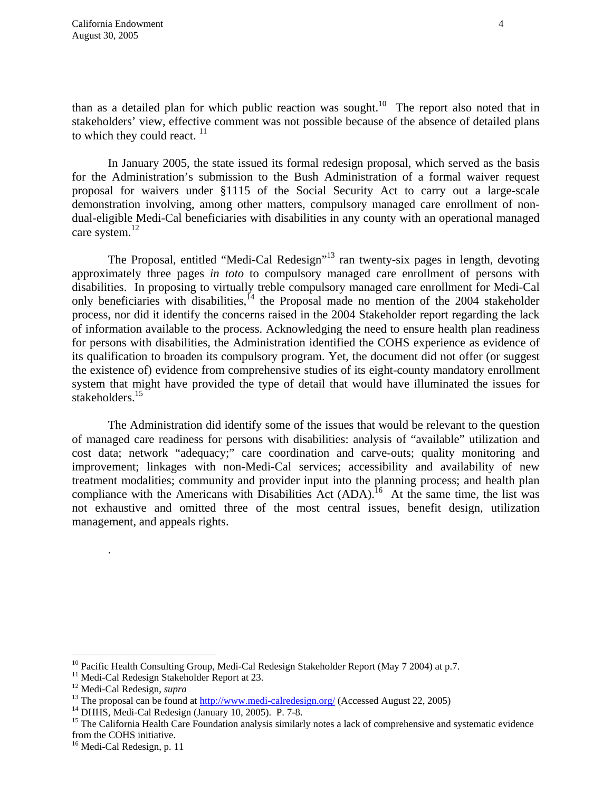than as a detailed plan for which public reaction was sought.<sup>10</sup> The report also noted that in stakeholders' view, effective comment was not possible because of the absence of detailed plans to which they could react.  $\frac{11}{11}$ 

In January 2005, the state issued its formal redesign proposal, which served as the basis for the Administration's submission to the Bush Administration of a formal waiver request proposal for waivers under §1115 of the Social Security Act to carry out a large-scale demonstration involving, among other matters, compulsory managed care enrollment of nondual-eligible Medi-Cal beneficiaries with disabilities in any county with an operational managed care system.<sup>12</sup>

The Proposal, entitled "Medi-Cal Redesign"<sup>13</sup> ran twenty-six pages in length, devoting approximately three pages *in toto* to compulsory managed care enrollment of persons with disabilities. In proposing to virtually treble compulsory managed care enrollment for Medi-Cal only beneficiaries with disabilities,<sup> $14$ </sup> the Proposal made no mention of the 2004 stakeholder process, nor did it identify the concerns raised in the 2004 Stakeholder report regarding the lack of information available to the process. Acknowledging the need to ensure health plan readiness for persons with disabilities, the Administration identified the COHS experience as evidence of its qualification to broaden its compulsory program. Yet, the document did not offer (or suggest the existence of) evidence from comprehensive studies of its eight-county mandatory enrollment system that might have provided the type of detail that would have illuminated the issues for stakeholders.<sup>15</sup>

The Administration did identify some of the issues that would be relevant to the question of managed care readiness for persons with disabilities: analysis of "available" utilization and cost data; network "adequacy;" care coordination and carve-outs; quality monitoring and improvement; linkages with non-Medi-Cal services; accessibility and availability of new treatment modalities; community and provider input into the planning process; and health plan compliance with the Americans with Disabilities Act  $(ADA)$ .<sup>16</sup> At the same time, the list was not exhaustive and omitted three of the most central issues, benefit design, utilization management, and appeals rights.

.

<sup>&</sup>lt;sup>10</sup> Pacific Health Consulting Group, Medi-Cal Redesign Stakeholder Report (May 7 2004) at p.7.<br><sup>11</sup> Medi-Cal Redesign Stakeholder Report at 23.<br><sup>12</sup> Medi-Cal Redesign, *supra* 

<sup>&</sup>lt;sup>13</sup> The proposal can be found at <u>http://www.medi-calredesign.org/</u> (Accessed August 22, 2005) <sup>14</sup> DHHS, Medi-Cal Redesign (January 10, 2005). P. 7-8.

<sup>&</sup>lt;sup>15</sup> The California Health Care Foundation analysis similarly notes a lack of comprehensive and systematic evidence from the COHS initiative.

<sup>&</sup>lt;sup>16</sup> Medi-Cal Redesign, p. 11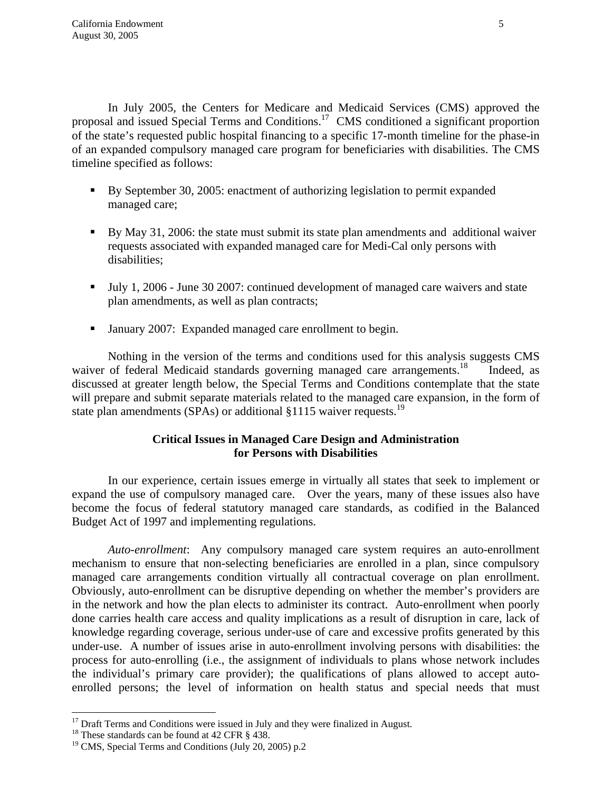In July 2005, the Centers for Medicare and Medicaid Services (CMS) approved the proposal and issued Special Terms and Conditions.17 CMS conditioned a significant proportion of the state's requested public hospital financing to a specific 17-month timeline for the phase-in of an expanded compulsory managed care program for beneficiaries with disabilities. The CMS timeline specified as follows:

- By September 30, 2005: enactment of authorizing legislation to permit expanded managed care;
- By May 31, 2006: the state must submit its state plan amendments and additional waiver requests associated with expanded managed care for Medi-Cal only persons with disabilities;
- Ully 1, 2006 June 30 2007: continued development of managed care waivers and state plan amendments, as well as plan contracts;
- **January 2007: Expanded managed care enrollment to begin.**

 Nothing in the version of the terms and conditions used for this analysis suggests CMS waiver of federal Medicaid standards governing managed care arrangements.<sup>18</sup> Indeed, as discussed at greater length below, the Special Terms and Conditions contemplate that the state will prepare and submit separate materials related to the managed care expansion, in the form of state plan amendments (SPAs) or additional §1115 waiver requests.<sup>19</sup>

## **Critical Issues in Managed Care Design and Administration for Persons with Disabilities**

 In our experience, certain issues emerge in virtually all states that seek to implement or expand the use of compulsory managed care. Over the years, many of these issues also have become the focus of federal statutory managed care standards, as codified in the Balanced Budget Act of 1997 and implementing regulations.

*Auto-enrollment*: Any compulsory managed care system requires an auto-enrollment mechanism to ensure that non-selecting beneficiaries are enrolled in a plan, since compulsory managed care arrangements condition virtually all contractual coverage on plan enrollment. Obviously, auto-enrollment can be disruptive depending on whether the member's providers are in the network and how the plan elects to administer its contract. Auto-enrollment when poorly done carries health care access and quality implications as a result of disruption in care, lack of knowledge regarding coverage, serious under-use of care and excessive profits generated by this under-use. A number of issues arise in auto-enrollment involving persons with disabilities: the process for auto-enrolling (i.e., the assignment of individuals to plans whose network includes the individual's primary care provider); the qualifications of plans allowed to accept autoenrolled persons; the level of information on health status and special needs that must

<sup>&</sup>lt;sup>17</sup> Draft Terms and Conditions were issued in July and they were finalized in August. <sup>18</sup> These standards can be found at 42 CFR  $\S$  438.

<sup>&</sup>lt;sup>19</sup> CMS, Special Terms and Conditions (July 20, 2005) p.2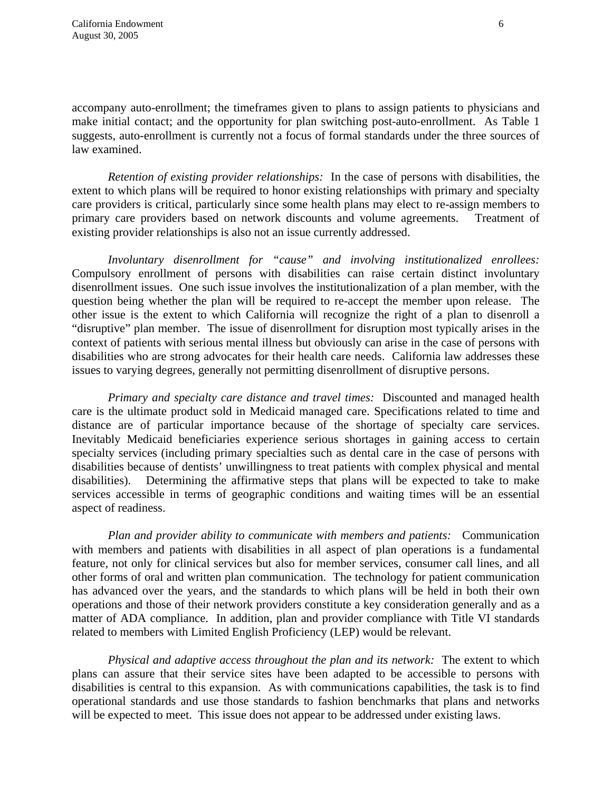accompany auto-enrollment; the timeframes given to plans to assign patients to physicians and make initial contact; and the opportunity for plan switching post-auto-enrollment. As Table 1 suggests, auto-enrollment is currently not a focus of formal standards under the three sources of law examined.

*Retention of existing provider relationships:* In the case of persons with disabilities, the extent to which plans will be required to honor existing relationships with primary and specialty care providers is critical, particularly since some health plans may elect to re-assign members to primary care providers based on network discounts and volume agreements. Treatment of existing provider relationships is also not an issue currently addressed.

*Involuntary disenrollment for "cause" and involving institutionalized enrollees:*  Compulsory enrollment of persons with disabilities can raise certain distinct involuntary disenrollment issues. One such issue involves the institutionalization of a plan member, with the question being whether the plan will be required to re-accept the member upon release. The other issue is the extent to which California will recognize the right of a plan to disenroll a "disruptive" plan member. The issue of disenrollment for disruption most typically arises in the context of patients with serious mental illness but obviously can arise in the case of persons with disabilities who are strong advocates for their health care needs. California law addresses these issues to varying degrees, generally not permitting disenrollment of disruptive persons.

*Primary and specialty care distance and travel times:* Discounted and managed health care is the ultimate product sold in Medicaid managed care. Specifications related to time and distance are of particular importance because of the shortage of specialty care services. Inevitably Medicaid beneficiaries experience serious shortages in gaining access to certain specialty services (including primary specialties such as dental care in the case of persons with disabilities because of dentists' unwillingness to treat patients with complex physical and mental disabilities). Determining the affirmative steps that plans will be expected to take to make services accessible in terms of geographic conditions and waiting times will be an essential aspect of readiness.

*Plan and provider ability to communicate with members and patients:* Communication with members and patients with disabilities in all aspect of plan operations is a fundamental feature, not only for clinical services but also for member services, consumer call lines, and all other forms of oral and written plan communication. The technology for patient communication has advanced over the years, and the standards to which plans will be held in both their own operations and those of their network providers constitute a key consideration generally and as a matter of ADA compliance. In addition, plan and provider compliance with Title VI standards related to members with Limited English Proficiency (LEP) would be relevant.

 *Physical and adaptive access throughout the plan and its network:* The extent to which plans can assure that their service sites have been adapted to be accessible to persons with disabilities is central to this expansion. As with communications capabilities, the task is to find operational standards and use those standards to fashion benchmarks that plans and networks will be expected to meet. This issue does not appear to be addressed under existing laws.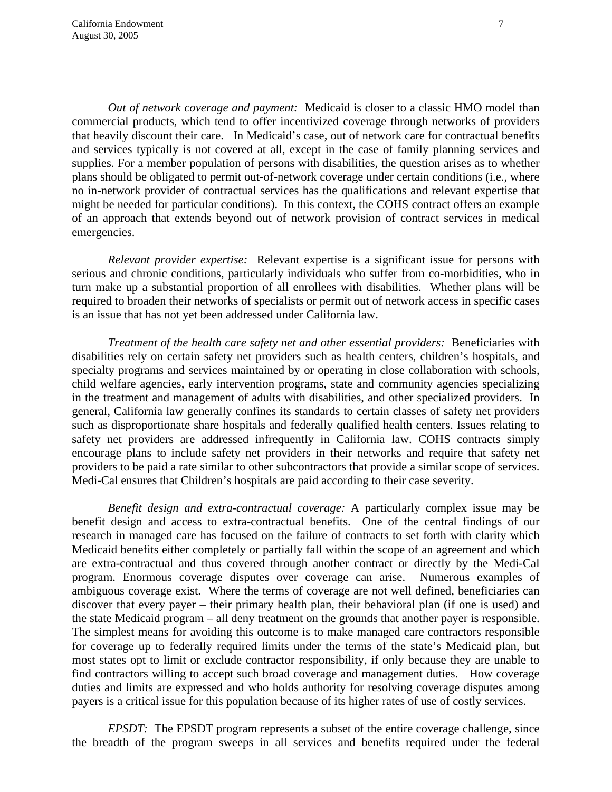*Out of network coverage and payment:* Medicaid is closer to a classic HMO model than commercial products, which tend to offer incentivized coverage through networks of providers that heavily discount their care. In Medicaid's case, out of network care for contractual benefits and services typically is not covered at all, except in the case of family planning services and supplies. For a member population of persons with disabilities, the question arises as to whether plans should be obligated to permit out-of-network coverage under certain conditions (i.e., where no in-network provider of contractual services has the qualifications and relevant expertise that might be needed for particular conditions). In this context, the COHS contract offers an example of an approach that extends beyond out of network provision of contract services in medical emergencies.

*Relevant provider expertise:* Relevant expertise is a significant issue for persons with serious and chronic conditions, particularly individuals who suffer from co-morbidities, who in turn make up a substantial proportion of all enrollees with disabilities. Whether plans will be required to broaden their networks of specialists or permit out of network access in specific cases is an issue that has not yet been addressed under California law.

*Treatment of the health care safety net and other essential providers:* Beneficiaries with disabilities rely on certain safety net providers such as health centers, children's hospitals, and specialty programs and services maintained by or operating in close collaboration with schools, child welfare agencies, early intervention programs, state and community agencies specializing in the treatment and management of adults with disabilities, and other specialized providers. In general, California law generally confines its standards to certain classes of safety net providers such as disproportionate share hospitals and federally qualified health centers. Issues relating to safety net providers are addressed infrequently in California law. COHS contracts simply encourage plans to include safety net providers in their networks and require that safety net providers to be paid a rate similar to other subcontractors that provide a similar scope of services. Medi-Cal ensures that Children's hospitals are paid according to their case severity.

*Benefit design and extra-contractual coverage:* A particularly complex issue may be benefit design and access to extra-contractual benefits. One of the central findings of our research in managed care has focused on the failure of contracts to set forth with clarity which Medicaid benefits either completely or partially fall within the scope of an agreement and which are extra-contractual and thus covered through another contract or directly by the Medi-Cal program. Enormous coverage disputes over coverage can arise. Numerous examples of ambiguous coverage exist. Where the terms of coverage are not well defined, beneficiaries can discover that every payer – their primary health plan, their behavioral plan (if one is used) and the state Medicaid program – all deny treatment on the grounds that another payer is responsible. The simplest means for avoiding this outcome is to make managed care contractors responsible for coverage up to federally required limits under the terms of the state's Medicaid plan, but most states opt to limit or exclude contractor responsibility, if only because they are unable to find contractors willing to accept such broad coverage and management duties. How coverage duties and limits are expressed and who holds authority for resolving coverage disputes among payers is a critical issue for this population because of its higher rates of use of costly services.

*EPSDT:* The EPSDT program represents a subset of the entire coverage challenge, since the breadth of the program sweeps in all services and benefits required under the federal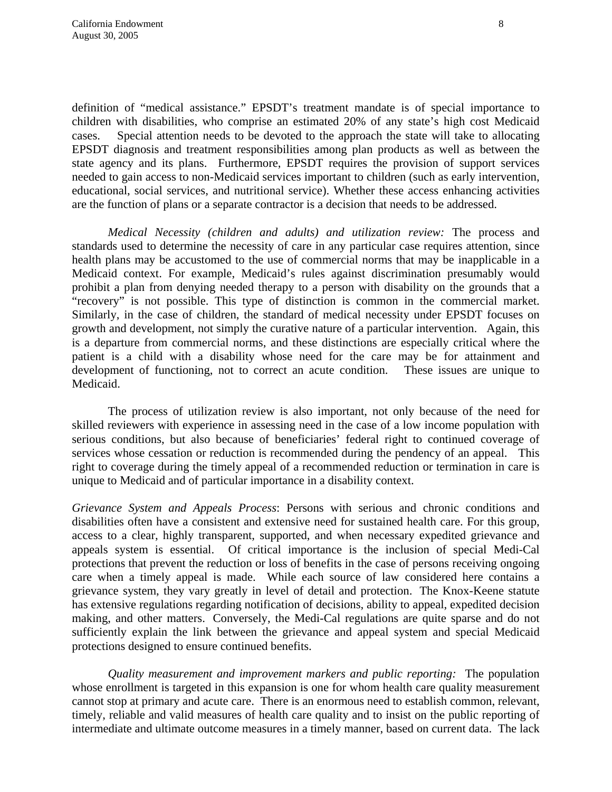definition of "medical assistance." EPSDT's treatment mandate is of special importance to children with disabilities, who comprise an estimated 20% of any state's high cost Medicaid cases. Special attention needs to be devoted to the approach the state will take to allocating EPSDT diagnosis and treatment responsibilities among plan products as well as between the state agency and its plans. Furthermore, EPSDT requires the provision of support services needed to gain access to non-Medicaid services important to children (such as early intervention, educational, social services, and nutritional service). Whether these access enhancing activities are the function of plans or a separate contractor is a decision that needs to be addressed.

*Medical Necessity (children and adults) and utilization review:* The process and standards used to determine the necessity of care in any particular case requires attention, since health plans may be accustomed to the use of commercial norms that may be inapplicable in a Medicaid context. For example, Medicaid's rules against discrimination presumably would prohibit a plan from denying needed therapy to a person with disability on the grounds that a "recovery" is not possible. This type of distinction is common in the commercial market. Similarly, in the case of children, the standard of medical necessity under EPSDT focuses on growth and development, not simply the curative nature of a particular intervention. Again, this is a departure from commercial norms, and these distinctions are especially critical where the patient is a child with a disability whose need for the care may be for attainment and development of functioning, not to correct an acute condition. These issues are unique to Medicaid.

The process of utilization review is also important, not only because of the need for skilled reviewers with experience in assessing need in the case of a low income population with serious conditions, but also because of beneficiaries' federal right to continued coverage of services whose cessation or reduction is recommended during the pendency of an appeal. This right to coverage during the timely appeal of a recommended reduction or termination in care is unique to Medicaid and of particular importance in a disability context.

*Grievance System and Appeals Process*: Persons with serious and chronic conditions and disabilities often have a consistent and extensive need for sustained health care. For this group, access to a clear, highly transparent, supported, and when necessary expedited grievance and appeals system is essential. Of critical importance is the inclusion of special Medi-Cal protections that prevent the reduction or loss of benefits in the case of persons receiving ongoing care when a timely appeal is made. While each source of law considered here contains a grievance system, they vary greatly in level of detail and protection. The Knox-Keene statute has extensive regulations regarding notification of decisions, ability to appeal, expedited decision making, and other matters. Conversely, the Medi-Cal regulations are quite sparse and do not sufficiently explain the link between the grievance and appeal system and special Medicaid protections designed to ensure continued benefits.

*Quality measurement and improvement markers and public reporting:* The population whose enrollment is targeted in this expansion is one for whom health care quality measurement cannot stop at primary and acute care. There is an enormous need to establish common, relevant, timely, reliable and valid measures of health care quality and to insist on the public reporting of intermediate and ultimate outcome measures in a timely manner, based on current data. The lack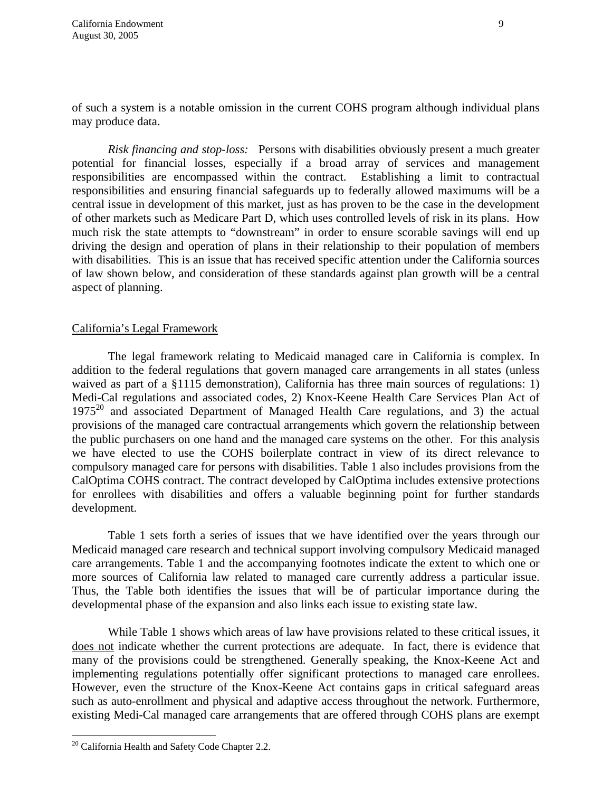of such a system is a notable omission in the current COHS program although individual plans may produce data.

*Risk financing and stop-loss:* Persons with disabilities obviously present a much greater potential for financial losses, especially if a broad array of services and management responsibilities are encompassed within the contract. Establishing a limit to contractual responsibilities and ensuring financial safeguards up to federally allowed maximums will be a central issue in development of this market, just as has proven to be the case in the development of other markets such as Medicare Part D, which uses controlled levels of risk in its plans. How much risk the state attempts to "downstream" in order to ensure scorable savings will end up driving the design and operation of plans in their relationship to their population of members with disabilities. This is an issue that has received specific attention under the California sources of law shown below, and consideration of these standards against plan growth will be a central aspect of planning.

#### California's Legal Framework

The legal framework relating to Medicaid managed care in California is complex. In addition to the federal regulations that govern managed care arrangements in all states (unless waived as part of a §1115 demonstration), California has three main sources of regulations: 1) Medi-Cal regulations and associated codes, 2) Knox-Keene Health Care Services Plan Act of  $1975^{20}$  and associated Department of Managed Health Care regulations, and 3) the actual provisions of the managed care contractual arrangements which govern the relationship between the public purchasers on one hand and the managed care systems on the other. For this analysis we have elected to use the COHS boilerplate contract in view of its direct relevance to compulsory managed care for persons with disabilities. Table 1 also includes provisions from the CalOptima COHS contract. The contract developed by CalOptima includes extensive protections for enrollees with disabilities and offers a valuable beginning point for further standards development.

Table 1 sets forth a series of issues that we have identified over the years through our Medicaid managed care research and technical support involving compulsory Medicaid managed care arrangements. Table 1 and the accompanying footnotes indicate the extent to which one or more sources of California law related to managed care currently address a particular issue. Thus, the Table both identifies the issues that will be of particular importance during the developmental phase of the expansion and also links each issue to existing state law.

While Table 1 shows which areas of law have provisions related to these critical issues, it does not indicate whether the current protections are adequate. In fact, there is evidence that many of the provisions could be strengthened. Generally speaking, the Knox-Keene Act and implementing regulations potentially offer significant protections to managed care enrollees. However, even the structure of the Knox-Keene Act contains gaps in critical safeguard areas such as auto-enrollment and physical and adaptive access throughout the network. Furthermore, existing Medi-Cal managed care arrangements that are offered through COHS plans are exempt

1

<sup>&</sup>lt;sup>20</sup> California Health and Safety Code Chapter 2.2.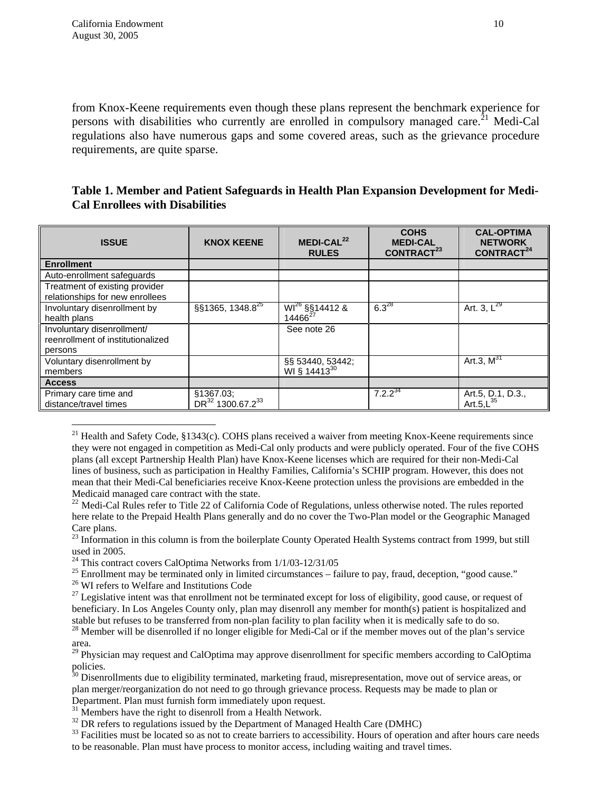from Knox-Keene requirements even though these plans represent the benchmark experience for persons with disabilities who currently are enrolled in compulsory managed care.<sup>21</sup> Medi-Cal regulations also have numerous gaps and some covered areas, such as the grievance procedure requirements, are quite sparse.

### **Table 1. Member and Patient Safeguards in Health Plan Expansion Development for Medi-Cal Enrollees with Disabilities**

| <b>ISSUE</b>                                                               | <b>KNOX KEENE</b>                                     | MEDI-CAL <sup>22</sup><br><b>RULES</b>       | <b>COHS</b><br><b>MEDI-CAL</b><br>CONTRACT <sup>23</sup> | <b>CAL-OPTIMA</b><br><b>NETWORK</b><br>CONTRACT <sup>24</sup> |
|----------------------------------------------------------------------------|-------------------------------------------------------|----------------------------------------------|----------------------------------------------------------|---------------------------------------------------------------|
| <b>Enrollment</b>                                                          |                                                       |                                              |                                                          |                                                               |
| Auto-enrollment safeguards                                                 |                                                       |                                              |                                                          |                                                               |
| Treatment of existing provider<br>relationships for new enrollees          |                                                       |                                              |                                                          |                                                               |
| Involuntary disenrollment by<br>health plans                               | §§1365, 1348.8 <sup>25</sup>                          | $W1^{26}$ §§14412 &<br>14466 <sup>27</sup>   | $6.3^{28}$                                               | Art. 3, $L^{29}$                                              |
| Involuntary disenrollment/<br>reenrollment of institutionalized<br>persons |                                                       | See note 26                                  |                                                          |                                                               |
| Voluntary disenrollment by<br>members                                      |                                                       | §§ 53440, 53442;<br>WI § 14413 <sup>30</sup> |                                                          | Art.3, $M^{31}$                                               |
| <b>Access</b>                                                              |                                                       |                                              |                                                          |                                                               |
| Primary care time and<br>distance/travel times                             | §1367.03;<br>DR <sup>32</sup> 1300.67.2 <sup>33</sup> |                                              | $7.2.2^{34}$                                             | Art.5, D.1, D.3.,<br>Art.5, $L^{35}$                          |

<sup>&</sup>lt;sup>21</sup> Health and Safety Code,  $\frac{1343(c)}{c}$ . COHS plans received a waiver from meeting Knox-Keene requirements since they were not engaged in competition as Medi-Cal only products and were publicly operated. Four of the five COHS plans (all except Partnership Health Plan) have Knox-Keene licenses which are required for their non-Medi-Cal lines of business, such as participation in Healthy Families, California's SCHIP program. However, this does not mean that their Medi-Cal beneficiaries receive Knox-Keene protection unless the provisions are embedded in the Medicaid managed care contract with the state.

 $23$  Information in this column is from the boilerplate County Operated Health Systems contract from 1999, but still used in 2005.

<sup>24</sup> This contract covers CalOptima Networks from 1/1/03-12/31/05

<sup>25</sup> Enrollment may be terminated only in limited circumstances – failure to pay, fraud, deception, "good cause."  $^{26}$  WI refers to Welfare and Institutions Code

 $\overline{a}$ 

 $27$  Legislative intent was that enrollment not be terminated except for loss of eligibility, good cause, or request of beneficiary. In Los Angeles County only, plan may disenroll any member for month(s) patient is hospitalized and stable but refuses to be transferred from non-plan facility to plan facility when it is medically safe to do so.<br><sup>28</sup> Member will be disenrolled if no longer eligible for Medi-Cal or if the member moves out of the plan's s

area.

 $^{29}$  Physician may request and CalOptima may approve disenrollment for specific members according to CalOptima policies.

 $\sigma$  Disenrollments due to eligibility terminated, marketing fraud, misrepresentation, move out of service areas, or plan merger/reorganization do not need to go through grievance process. Requests may be made to plan or Department. Plan must furnish form immediately upon request.

 $31$  Members have the right to disenroll from a Health Network.

 $32$  DR refers to regulations issued by the Department of Managed Health Care (DMHC)

<sup>33</sup> Facilities must be located so as not to create barriers to accessibility. Hours of operation and after hours care needs to be reasonable. Plan must have process to monitor access, including waiting and travel times.

 $^{22}$  Medi-Cal Rules refer to Title 22 of California Code of Regulations, unless otherwise noted. The rules reported here relate to the Prepaid Health Plans generally and do no cover the Two-Plan model or the Geographic Managed Care plans.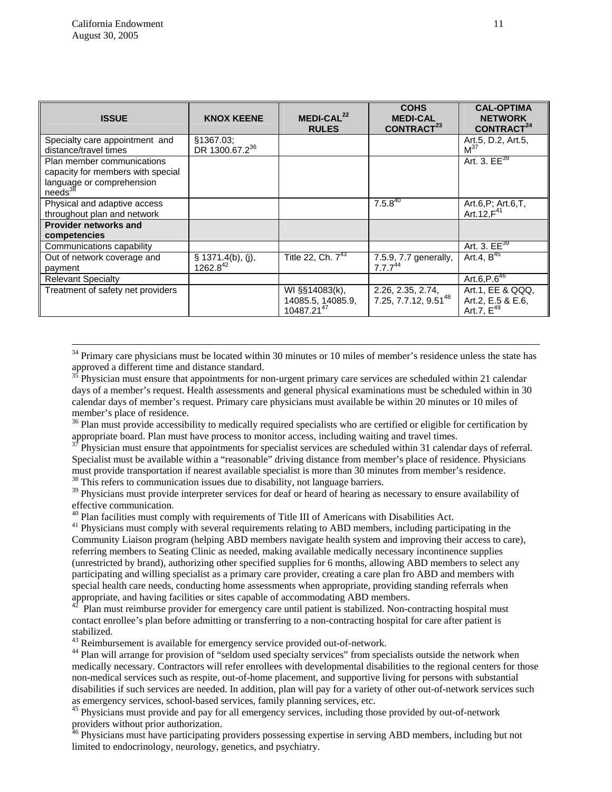| <b>ISSUE</b>                                                                                                 | <b>KNOX KEENE</b>                                   | MEDI-CAL <sup>22</sup><br><b>RULES</b>                        | <b>COHS</b><br><b>MEDI-CAL</b><br>CONTRACT <sup>23</sup> | <b>CAL-OPTIMA</b><br><b>NETWORK</b><br>CONTRACT <sup>24</sup> |
|--------------------------------------------------------------------------------------------------------------|-----------------------------------------------------|---------------------------------------------------------------|----------------------------------------------------------|---------------------------------------------------------------|
| Specialty care appointment and<br>distance/travel times                                                      | §1367.03;<br>DR 1300.67.2 <sup>36</sup>             |                                                               |                                                          | Art.5, D.2, Art.5,<br>M <sup>37</sup>                         |
| Plan member communications<br>capacity for members with special<br>language or comprehension<br>$needs^{38}$ |                                                     |                                                               |                                                          | Art. 3. $EE^{39}$                                             |
| Physical and adaptive access<br>throughout plan and network                                                  |                                                     |                                                               | $7.5.8^{40}$                                             | Art.6, P; Art.6, T,<br>Art. 12, $F^{41}$                      |
| <b>Provider networks and</b><br>competencies                                                                 |                                                     |                                                               |                                                          |                                                               |
| Communications capability                                                                                    |                                                     |                                                               |                                                          | Art. 3. $EE^{39}$                                             |
| Out of network coverage and<br>payment                                                                       | $\frac{\$~1371.4(b), \overline{(j)},}{1262.8^{42}}$ | Title 22, Ch. $7^{43}$                                        | 7.5.9, 7.7 generally,<br>$7.7.7^{44}$                    | Art.4, $B^{45}$                                               |
| <b>Relevant Specialty</b>                                                                                    |                                                     |                                                               |                                                          | Art.6, $\overline{P.6}^{46}$                                  |
| Treatment of safety net providers                                                                            |                                                     | WI §§14083(k),<br>14085.5, 14085.9,<br>10487.21 <sup>47</sup> | 2.26, 2.35, 2.74,<br>7.25, 7.7.12, 9.51 <sup>48</sup>    | Art.1, EE & QQQ,<br>Art.2, E.5 & E.6,<br>Art.7, $E^{49}$      |

 $34$  Primary care physicians must be located within 30 minutes or 10 miles of member's residence unless the state has approved a different time and distance standard.

 $35$  Physician must ensure that appointments for non-urgent primary care services are scheduled within 21 calendar days of a member's request. Health assessments and general physical examinations must be scheduled within in 30 calendar days of member's request. Primary care physicians must available be within 20 minutes or 10 miles of member's place of residence.

<sup>36</sup> Plan must provide accessibility to medically required specialists who are certified or eligible for certification by appropriate board. Plan must have process to monitor access, including waiting and travel times.<br><sup>37</sup> Physician must ensure that appointments for specialist services are scheduled within 31 calendar days of referral.

Specialist must be available within a "reasonable" driving distance from member's place of residence. Physicians must provide transportation if nearest available specialist is more than 30 minutes from member's residence.<br><sup>38</sup> This refers to communication issues due to disability, not language barriers.

<sup>39</sup> Physicians must provide interpreter services for deaf or heard of hearing as necessary to ensure availability of effective communication.<br><sup>40</sup> Plan facilities must comply with requirements of Title III of Americans with Disabilities Act.

<sup>41</sup> Physicians must comply with several requirements relating to ABD members, including participating in the Community Liaison program (helping ABD members navigate health system and improving their access to care), referring members to Seating Clinic as needed, making available medically necessary incontinence supplies (unrestricted by brand), authorizing other specified supplies for 6 months, allowing ABD members to select any participating and willing specialist as a primary care provider, creating a care plan fro ABD and members with special health care needs, conducting home assessments when appropriate, providing standing referrals when appropriate, and having facilities or sites capable of accommodating ABD members.

42 Plan must reimburse provider for emergency care until patient is stabilized. Non-contracting hospital must contact enrollee's plan before admitting or transferring to a non-contracting hospital for care after patient is stabilized.

<sup>43</sup> Reimbursement is available for emergency service provided out-of-network.

<sup>44</sup> Plan will arrange for provision of "seldom used specialty services" from specialists outside the network when medically necessary. Contractors will refer enrollees with developmental disabilities to the regional centers for those non-medical services such as respite, out-of-home placement, and supportive living for persons with substantial disabilities if such services are needed. In addition, plan will pay for a variety of other out-of-network services such as emergency services, school-based services, family planning services, etc.<br><sup>45</sup> Physicians must provide and pay for all emergency services, including those provided by out-of-network

providers without prior authorization.

<sup>46</sup> Physicians must have participating providers possessing expertise in serving ABD members, including but not limited to endocrinology, neurology, genetics, and psychiatry.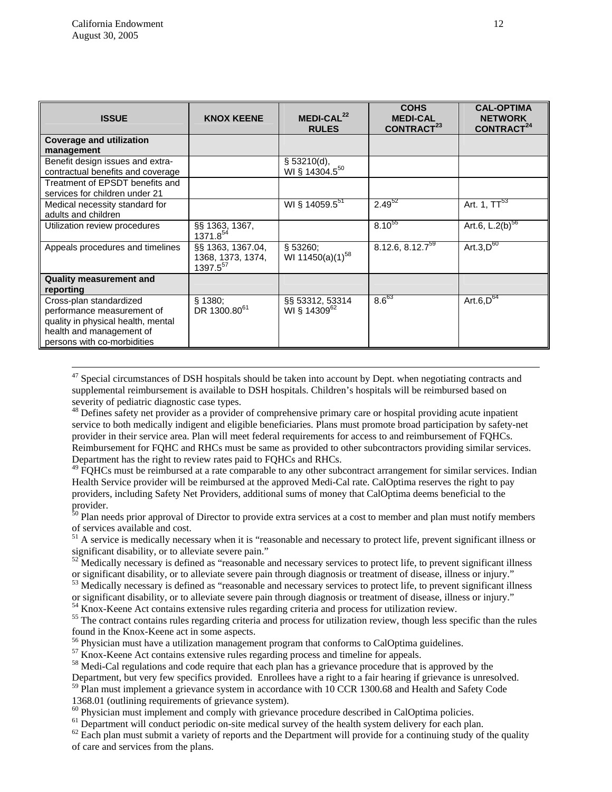| <b>ISSUE</b>                                                                                                                                           | <b>KNOX KEENE</b>                                       | $MEDI-CAL22$<br><b>RULES</b>                | <b>COHS</b><br><b>MEDI-CAL</b><br>CONTRACT <sup>23</sup> | <b>CAL-OPTIMA</b><br><b>NETWORK</b><br>CONTRACT <sup>24</sup> |
|--------------------------------------------------------------------------------------------------------------------------------------------------------|---------------------------------------------------------|---------------------------------------------|----------------------------------------------------------|---------------------------------------------------------------|
| <b>Coverage and utilization</b><br>management                                                                                                          |                                                         |                                             |                                                          |                                                               |
| Benefit design issues and extra-<br>contractual benefits and coverage                                                                                  |                                                         | \$ 53210(d),<br>WI § 14304.5 <sup>50</sup>  |                                                          |                                                               |
| Treatment of EPSDT benefits and<br>services for children under 21                                                                                      |                                                         |                                             |                                                          |                                                               |
| Medical necessity standard for<br>adults and children                                                                                                  |                                                         | WI § 14059.5 <sup>51</sup>                  | $2.49^{52}$                                              | Art. 1, TT <sup>53</sup>                                      |
| Utilization review procedures                                                                                                                          | §§ 1363, 1367,<br>$1371.8^{54}$                         |                                             | $8.10^{55}$                                              | Art.6, $L.2(b)^{56}$                                          |
| Appeals procedures and timelines                                                                                                                       | §§ 1363, 1367.04,<br>1368, 1373, 1374,<br>$1397.5^{57}$ | \$53260;<br>WI 11450(a)(1) <sup>58</sup>    | $8.12.6, 8.12.7^{59}$                                    | Art.3, $D^{60}$                                               |
| <b>Quality measurement and</b><br>reporting                                                                                                            |                                                         |                                             |                                                          |                                                               |
| Cross-plan standardized<br>performance measurement of<br>quality in physical health, mental<br>health and management of<br>persons with co-morbidities | § 1380;<br>DR 1300.80 <sup>61</sup>                     | §§ 53312, 53314<br>WI § 14309 <sup>62</sup> | $8.6^{63}$                                               | Art.6, $D^{64}$                                               |

<sup>47</sup> Special circumstances of DSH hospitals should be taken into account by Dept. when negotiating contracts and supplemental reimbursement is available to DSH hospitals. Children's hospitals will be reimbursed based on severity of pediatric diagnostic case types.

<sup>48</sup> Defines safety net provider as a provider of comprehensive primary care or hospital providing acute inpatient service to both medically indigent and eligible beneficiaries. Plans must promote broad participation by safety-net provider in their service area. Plan will meet federal requirements for access to and reimbursement of FQHCs. Reimbursement for FQHC and RHCs must be same as provided to other subcontractors providing similar services. Department has the right to review rates paid to FQHCs and RHCs.

<sup>49</sup> FQHCs must be reimbursed at a rate comparable to any other subcontract arrangement for similar services. Indian Health Service provider will be reimbursed at the approved Medi-Cal rate. CalOptima reserves the right to pay providers, including Safety Net Providers, additional sums of money that CalOptima deems beneficial to the provider.

<sup>50</sup> Plan needs prior approval of Director to provide extra services at a cost to member and plan must notify members of services available and cost.

<sup>51</sup> A service is medically necessary when it is "reasonable and necessary to protect life, prevent significant illness or significant disability, or to alleviate severe pain."

 $52$  Medically necessary is defined as "reasonable and necessary services to protect life, to prevent significant illness or significant disability, or to alleviate severe pain through diagnosis or treatment of disease, illness or injury."<br><sup>53</sup> Medically necessary is defined as "reasonable and necessary services to protect life, to prevent si

or significant disability, or to alleviate severe pain through diagnosis or treatment of disease, illness or injury."<br><sup>54</sup> Knox-Keene Act contains extensive rules regarding criteria and process for utilization review.<br><sup>55</sup>

<sup>56</sup> Physician must have a utilization management program that conforms to CalOptima guidelines.

<sup>57</sup> Knox-Keene Act contains extensive rules regarding process and timeline for appeals.

58 Medi-Cal regulations and code require that each plan has a grievance procedure that is approved by the

Department, but very few specifics provided. Enrollees have a right to a fair hearing if grievance is unresolved.

<sup>59</sup> Plan must implement a grievance system in accordance with 10 CCR 1300.68 and Health and Safety Code

1368.01 (outlining requirements of grievance system).<br><sup>60</sup> Physician must implement and comply with grievance procedure described in CalOptima policies.

<sup>61</sup> Department will conduct periodic on-site medical survey of the health system delivery for each plan.<br><sup>62</sup> Each plan must submit a variety of reports and the Department will provide for a continuing study of the quali

of care and services from the plans.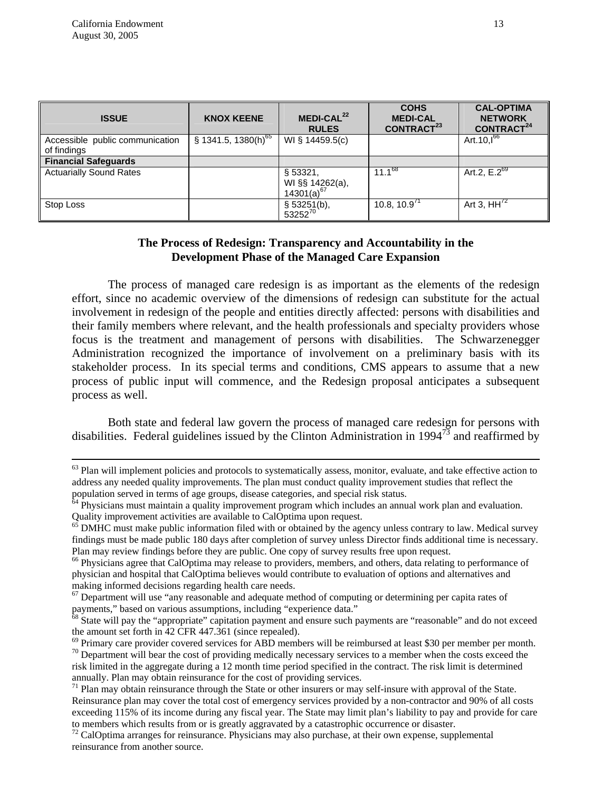| <b>ISSUE</b>                                   | <b>KNOX KEENE</b>               | MEDI-CAL <sup>22</sup><br><b>RULES</b>               | <b>COHS</b><br><b>MEDI-CAL</b><br>CONTRACT <sup>23</sup> | <b>CAL-OPTIMA</b><br><b>NETWORK</b><br>CONTRACT <sup>24</sup> |
|------------------------------------------------|---------------------------------|------------------------------------------------------|----------------------------------------------------------|---------------------------------------------------------------|
| Accessible public communication<br>of findings | § 1341.5, 1380(h) <sup>65</sup> | WI § 14459.5(c)                                      |                                                          | Art. $10,1^{66}$                                              |
| <b>Financial Safeguards</b>                    |                                 |                                                      |                                                          |                                                               |
| <b>Actuarially Sound Rates</b>                 |                                 | §53321,<br>WI §§ 14262(a),<br>14301(a) <sup>67</sup> | $11.1^{68}$                                              | Art.2, $E.\overline{2^{69}}$                                  |
| Stop Loss                                      |                                 | § 53251(b),<br>$53252^{70}$                          | 10.8, $10.971$                                           | Art 3, $HH^{72}$                                              |

## **The Process of Redesign: Transparency and Accountability in the Development Phase of the Managed Care Expansion**

The process of managed care redesign is as important as the elements of the redesign effort, since no academic overview of the dimensions of redesign can substitute for the actual involvement in redesign of the people and entities directly affected: persons with disabilities and their family members where relevant, and the health professionals and specialty providers whose focus is the treatment and management of persons with disabilities. The Schwarzenegger Administration recognized the importance of involvement on a preliminary basis with its stakeholder process. In its special terms and conditions, CMS appears to assume that a new process of public input will commence, and the Redesign proposal anticipates a subsequent process as well.

Both state and federal law govern the process of managed care redesign for persons with disabilities. Federal guidelines issued by the Clinton Administration in  $1994^{73}$  and reaffirmed by

 $63$  Plan will implement policies and protocols to systematically assess, monitor, evaluate, and take effective action to address any needed quality improvements. The plan must conduct quality improvement studies that reflect the

population served in terms of age groups, disease categories, and special risk status. 64 Physicians must maintain a quality improvement program which includes an annual work plan and evaluation. Quality improvement activities are available to CalOptima upon request.

 $65$  DMHC must make public information filed with or obtained by the agency unless contrary to law. Medical survey findings must be made public 180 days after completion of survey unless Director finds additional time is necessary. Plan may review findings before they are public. One copy of survey results free upon request.

<sup>&</sup>lt;sup>66</sup> Physicians agree that CalOptima may release to providers, members, and others, data relating to performance of physician and hospital that CalOptima believes would contribute to evaluation of options and alternatives and making informed decisions regarding health care needs.<br><sup>67</sup> Department will use "any reasonable and adequate method of computing or determining per capita rates of

payments," based on various assumptions, including "experience data."

<sup>&</sup>lt;sup>68</sup> State will pay the "appropriate" capitation payment and ensure such payments are "reasonable" and do not exceed the amount set forth in 42 CFR 447.361 (since repealed).<br><sup>69</sup> Primary care provider covered services for ABD members will be reimbursed at least \$30 per member per month.

 $\frac{1}{10}$  Department will bear the cost of providing medically necessary services to a member when the costs exceed the risk limited in the aggregate during a 12 month time period specified in the contract. The risk limit is determined

 $^{71}$  Plan may obtain reinsurance through the State or other insurers or may self-insure with approval of the State. Reinsurance plan may cover the total cost of emergency services provided by a non-contractor and 90% of all costs exceeding 115% of its income during any fiscal year. The State may limit plan's liability to pay and provide for care to members which results from or is greatly aggravated by a catastrophic occurrence or disaster.<br><sup>72</sup> CalOptima arranges for reinsurance. Physicians may also purchase, at their own expense, supplemental

reinsurance from another source.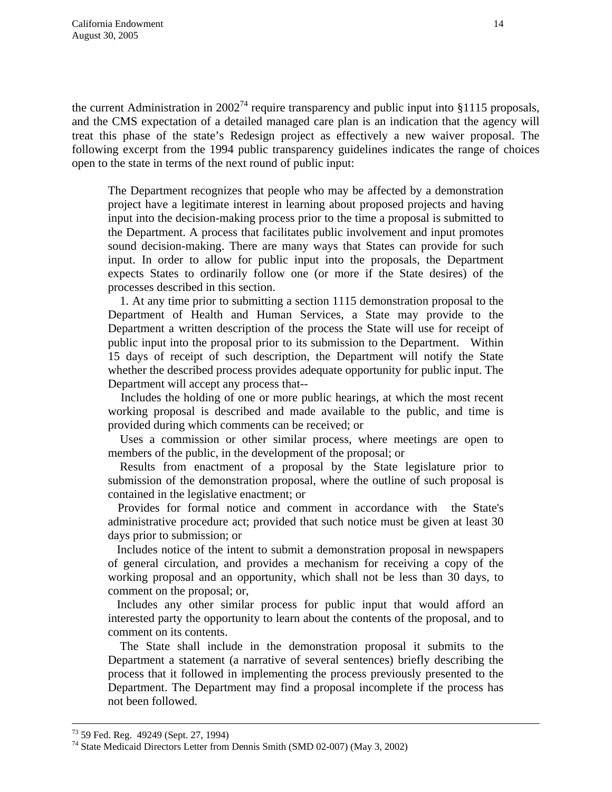the current Administration in  $2002^{74}$  require transparency and public input into §1115 proposals, and the CMS expectation of a detailed managed care plan is an indication that the agency will treat this phase of the state's Redesign project as effectively a new waiver proposal. The following excerpt from the 1994 public transparency guidelines indicates the range of choices open to the state in terms of the next round of public input:

The Department recognizes that people who may be affected by a demonstration project have a legitimate interest in learning about proposed projects and having input into the decision-making process prior to the time a proposal is submitted to the Department. A process that facilitates public involvement and input promotes sound decision-making. There are many ways that States can provide for such input. In order to allow for public input into the proposals, the Department expects States to ordinarily follow one (or more if the State desires) of the processes described in this section.

 1. At any time prior to submitting a section 1115 demonstration proposal to the Department of Health and Human Services, a State may provide to the Department a written description of the process the State will use for receipt of public input into the proposal prior to its submission to the Department. Within 15 days of receipt of such description, the Department will notify the State whether the described process provides adequate opportunity for public input. The Department will accept any process that--

 Includes the holding of one or more public hearings, at which the most recent working proposal is described and made available to the public, and time is provided during which comments can be received; or

 Uses a commission or other similar process, where meetings are open to members of the public, in the development of the proposal; or

 Results from enactment of a proposal by the State legislature prior to submission of the demonstration proposal, where the outline of such proposal is contained in the legislative enactment; or

 Provides for formal notice and comment in accordance with the State's administrative procedure act; provided that such notice must be given at least 30 days prior to submission; or

 Includes notice of the intent to submit a demonstration proposal in newspapers of general circulation, and provides a mechanism for receiving a copy of the working proposal and an opportunity, which shall not be less than 30 days, to comment on the proposal; or,

 Includes any other similar process for public input that would afford an interested party the opportunity to learn about the contents of the proposal, and to comment on its contents.

 The State shall include in the demonstration proposal it submits to the Department a statement (a narrative of several sentences) briefly describing the process that it followed in implementing the process previously presented to the Department. The Department may find a proposal incomplete if the process has not been followed.

 <sup>73 59</sup> Fed. Reg. 49249 (Sept. 27, 1994)

<sup>74</sup> State Medicaid Directors Letter from Dennis Smith (SMD 02-007) (May 3, 2002)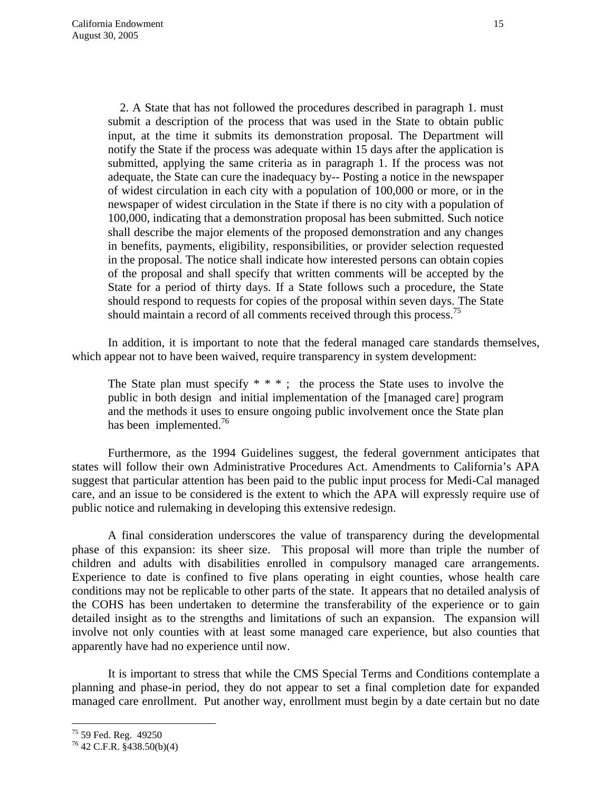2. A State that has not followed the procedures described in paragraph 1. must submit a description of the process that was used in the State to obtain public input, at the time it submits its demonstration proposal. The Department will notify the State if the process was adequate within 15 days after the application is submitted, applying the same criteria as in paragraph 1. If the process was not adequate, the State can cure the inadequacy by-- Posting a notice in the newspaper of widest circulation in each city with a population of 100,000 or more, or in the newspaper of widest circulation in the State if there is no city with a population of 100,000, indicating that a demonstration proposal has been submitted. Such notice shall describe the major elements of the proposed demonstration and any changes in benefits, payments, eligibility, responsibilities, or provider selection requested in the proposal. The notice shall indicate how interested persons can obtain copies of the proposal and shall specify that written comments will be accepted by the State for a period of thirty days. If a State follows such a procedure, the State should respond to requests for copies of the proposal within seven days. The State should maintain a record of all comments received through this process.<sup>75</sup>

In addition, it is important to note that the federal managed care standards themselves, which appear not to have been waived, require transparency in system development:

The State plan must specify  $* * *$ ; the process the State uses to involve the public in both design and initial implementation of the [managed care] program and the methods it uses to ensure ongoing public involvement once the State plan has been implemented.<sup>76</sup>

Furthermore, as the 1994 Guidelines suggest, the federal government anticipates that states will follow their own Administrative Procedures Act. Amendments to California's APA suggest that particular attention has been paid to the public input process for Medi-Cal managed care, and an issue to be considered is the extent to which the APA will expressly require use of public notice and rulemaking in developing this extensive redesign.

A final consideration underscores the value of transparency during the developmental phase of this expansion: its sheer size. This proposal will more than triple the number of children and adults with disabilities enrolled in compulsory managed care arrangements. Experience to date is confined to five plans operating in eight counties, whose health care conditions may not be replicable to other parts of the state. It appears that no detailed analysis of the COHS has been undertaken to determine the transferability of the experience or to gain detailed insight as to the strengths and limitations of such an expansion. The expansion will involve not only counties with at least some managed care experience, but also counties that apparently have had no experience until now.

It is important to stress that while the CMS Special Terms and Conditions contemplate a planning and phase-in period, they do not appear to set a final completion date for expanded managed care enrollment. Put another way, enrollment must begin by a date certain but no date

<sup>75 59</sup> Fed. Reg. 49250

 $76$  42 C.F.R.  $\frac{2}{3}$ 438.50(b)(4)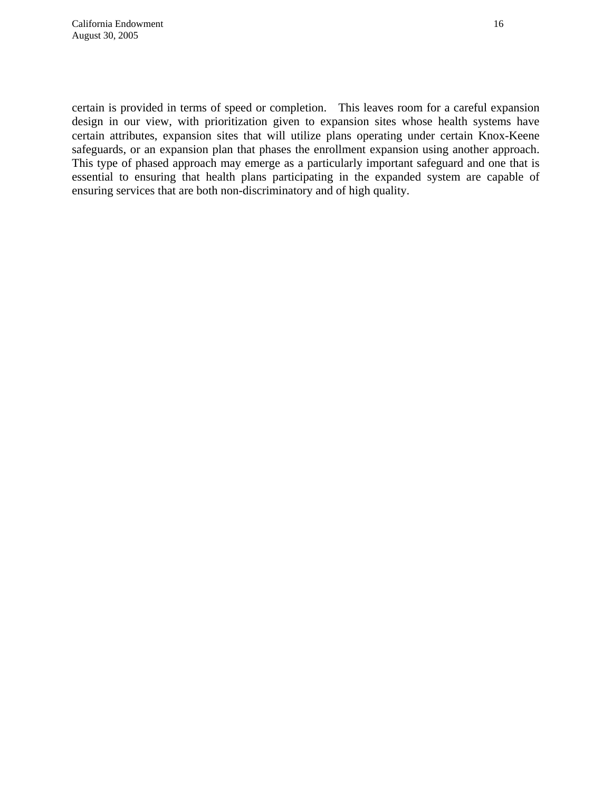certain is provided in terms of speed or completion. This leaves room for a careful expansion design in our view, with prioritization given to expansion sites whose health systems have certain attributes, expansion sites that will utilize plans operating under certain Knox-Keene safeguards, or an expansion plan that phases the enrollment expansion using another approach. This type of phased approach may emerge as a particularly important safeguard and one that is essential to ensuring that health plans participating in the expanded system are capable of ensuring services that are both non-discriminatory and of high quality.